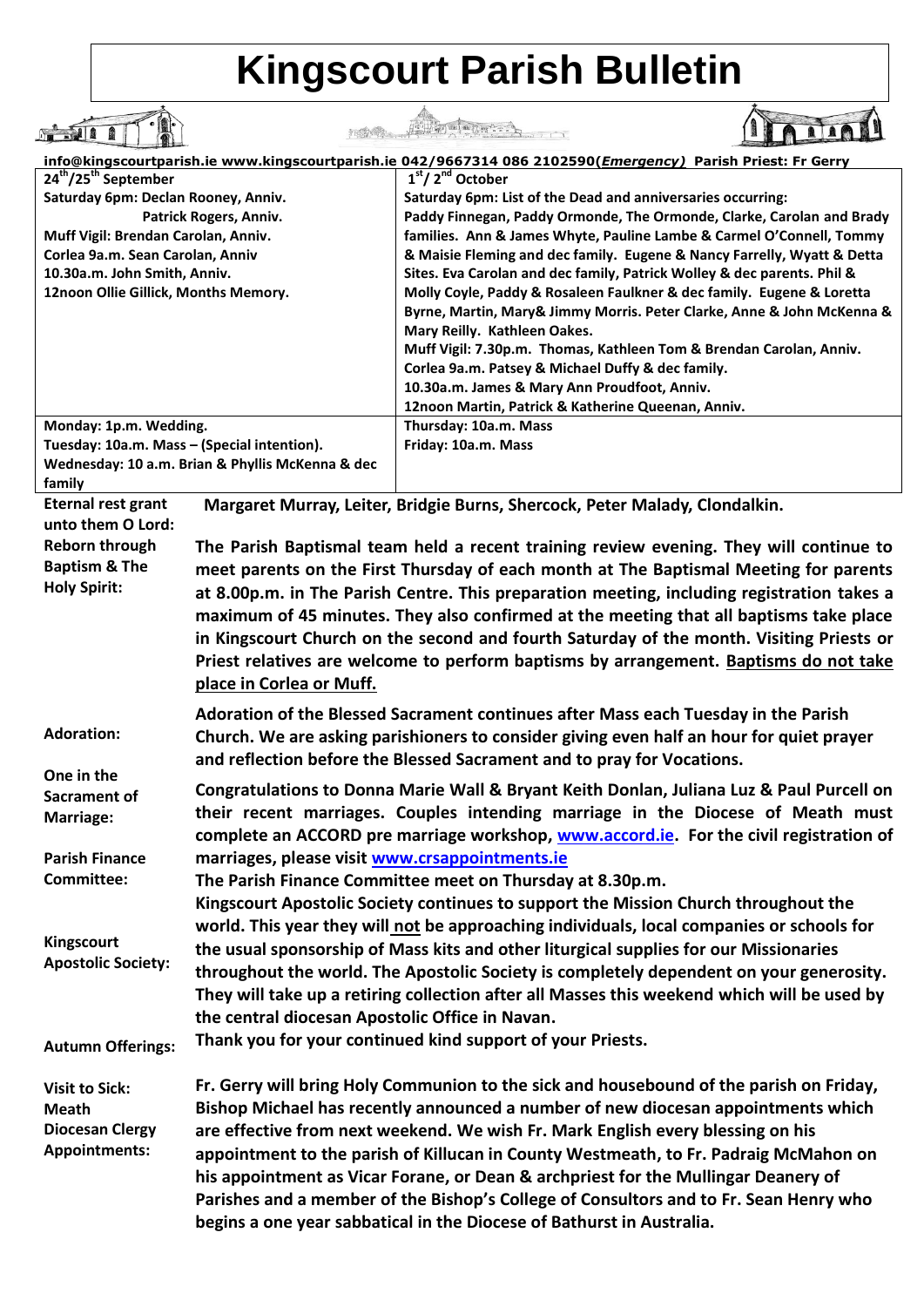## **Kingscourt Parish Bulletin**

|                                                |                                                  | STATE RESERVED                                                                                                                                |                                                                                                             |
|------------------------------------------------|--------------------------------------------------|-----------------------------------------------------------------------------------------------------------------------------------------------|-------------------------------------------------------------------------------------------------------------|
|                                                |                                                  |                                                                                                                                               | info@kingscourtparish.ie www.kingscourtparish.ie 042/9667314 086 2102590(Emergency) Parish Priest: Fr Gerry |
| 24 <sup>th</sup> /25 <sup>th</sup> September   |                                                  | 1 <sup>st</sup> /2 <sup>nd</sup> October                                                                                                      |                                                                                                             |
| Saturday 6pm: Declan Rooney, Anniv.            |                                                  | Saturday 6pm: List of the Dead and anniversaries occurring:                                                                                   |                                                                                                             |
| Muff Vigil: Brendan Carolan, Anniv.            | Patrick Rogers, Anniv.                           | Paddy Finnegan, Paddy Ormonde, The Ormonde, Clarke, Carolan and Brady<br>families. Ann & James Whyte, Pauline Lambe & Carmel O'Connell, Tommy |                                                                                                             |
| Corlea 9a.m. Sean Carolan, Anniv               |                                                  | & Maisie Fleming and dec family. Eugene & Nancy Farrelly, Wyatt & Detta                                                                       |                                                                                                             |
| 10.30a.m. John Smith, Anniv.                   |                                                  | Sites. Eva Carolan and dec family, Patrick Wolley & dec parents. Phil &                                                                       |                                                                                                             |
| 12noon Ollie Gillick, Months Memory.           |                                                  |                                                                                                                                               | Molly Coyle, Paddy & Rosaleen Faulkner & dec family. Eugene & Loretta                                       |
|                                                |                                                  |                                                                                                                                               | Byrne, Martin, Mary& Jimmy Morris. Peter Clarke, Anne & John McKenna &                                      |
|                                                |                                                  | Mary Reilly. Kathleen Oakes.                                                                                                                  |                                                                                                             |
|                                                |                                                  |                                                                                                                                               | Muff Vigil: 7.30p.m. Thomas, Kathleen Tom & Brendan Carolan, Anniv.                                         |
|                                                |                                                  | Corlea 9a.m. Patsey & Michael Duffy & dec family.<br>10.30a.m. James & Mary Ann Proudfoot, Anniv.                                             |                                                                                                             |
|                                                |                                                  | 12noon Martin, Patrick & Katherine Queenan, Anniv.                                                                                            |                                                                                                             |
| Monday: 1p.m. Wedding.                         |                                                  | Thursday: 10a.m. Mass                                                                                                                         |                                                                                                             |
| Tuesday: 10a.m. Mass - (Special intention).    |                                                  | Friday: 10a.m. Mass                                                                                                                           |                                                                                                             |
|                                                | Wednesday: 10 a.m. Brian & Phyllis McKenna & dec |                                                                                                                                               |                                                                                                             |
| family                                         |                                                  |                                                                                                                                               |                                                                                                             |
| <b>Eternal rest grant</b><br>unto them O Lord: |                                                  | Margaret Murray, Leiter, Bridgie Burns, Shercock, Peter Malady, Clondalkin.                                                                   |                                                                                                             |
| <b>Reborn through</b>                          |                                                  |                                                                                                                                               | The Parish Baptismal team held a recent training review evening. They will continue to                      |
| <b>Baptism &amp; The</b>                       |                                                  |                                                                                                                                               | meet parents on the First Thursday of each month at The Baptismal Meeting for parents                       |
| <b>Holy Spirit:</b>                            |                                                  |                                                                                                                                               | at 8.00p.m. in The Parish Centre. This preparation meeting, including registration takes a                  |
|                                                |                                                  |                                                                                                                                               | maximum of 45 minutes. They also confirmed at the meeting that all baptisms take place                      |
|                                                |                                                  |                                                                                                                                               | in Kingscourt Church on the second and fourth Saturday of the month. Visiting Priests or                    |
|                                                |                                                  |                                                                                                                                               | Priest relatives are welcome to perform baptisms by arrangement. Baptisms do not take                       |
|                                                | place in Corlea or Muff.                         |                                                                                                                                               |                                                                                                             |
|                                                |                                                  |                                                                                                                                               |                                                                                                             |
| <b>Adoration:</b>                              |                                                  |                                                                                                                                               | Adoration of the Blessed Sacrament continues after Mass each Tuesday in the Parish                          |
|                                                |                                                  |                                                                                                                                               | Church. We are asking parishioners to consider giving even half an hour for quiet prayer                    |
| One in the                                     |                                                  | and reflection before the Blessed Sacrament and to pray for Vocations.                                                                        |                                                                                                             |
| Sacrament of                                   |                                                  |                                                                                                                                               | Congratulations to Donna Marie Wall & Bryant Keith Donlan, Juliana Luz & Paul Purcell on                    |
| Marriage:                                      |                                                  |                                                                                                                                               | their recent marriages. Couples intending marriage in the Diocese of Meath must                             |
|                                                |                                                  |                                                                                                                                               | complete an ACCORD pre marriage workshop, www.accord.ie. For the civil registration of                      |
| <b>Parish Finance</b>                          | marriages, please visit www.crsappointments.ie   |                                                                                                                                               |                                                                                                             |
| Committee:                                     |                                                  | The Parish Finance Committee meet on Thursday at 8.30p.m.                                                                                     |                                                                                                             |
|                                                |                                                  |                                                                                                                                               | Kingscourt Apostolic Society continues to support the Mission Church throughout the                         |
|                                                |                                                  |                                                                                                                                               | world. This year they will not be approaching individuals, local companies or schools for                   |
| Kingscourt                                     |                                                  |                                                                                                                                               | the usual sponsorship of Mass kits and other liturgical supplies for our Missionaries                       |
| <b>Apostolic Society:</b>                      |                                                  |                                                                                                                                               |                                                                                                             |
|                                                |                                                  |                                                                                                                                               | throughout the world. The Apostolic Society is completely dependent on your generosity.                     |
|                                                |                                                  |                                                                                                                                               | They will take up a retiring collection after all Masses this weekend which will be used by                 |
|                                                | the central diocesan Apostolic Office in Navan.  |                                                                                                                                               |                                                                                                             |
| <b>Autumn Offerings:</b>                       |                                                  | Thank you for your continued kind support of your Priests.                                                                                    |                                                                                                             |
| <b>Visit to Sick:</b>                          |                                                  |                                                                                                                                               | Fr. Gerry will bring Holy Communion to the sick and housebound of the parish on Friday,                     |
| <b>Meath</b>                                   |                                                  |                                                                                                                                               | Bishop Michael has recently announced a number of new diocesan appointments which                           |
| <b>Diocesan Clergy</b>                         |                                                  |                                                                                                                                               | are effective from next weekend. We wish Fr. Mark English every blessing on his                             |
| Appointments:                                  |                                                  |                                                                                                                                               | appointment to the parish of Killucan in County Westmeath, to Fr. Padraig McMahon on                        |
|                                                |                                                  |                                                                                                                                               | his appointment as Vicar Forane, or Dean & archpriest for the Mullingar Deanery of                          |
|                                                |                                                  |                                                                                                                                               | Parishes and a member of the Bishop's College of Consultors and to Fr. Sean Henry who                       |
|                                                |                                                  | begins a one year sabbatical in the Diocese of Bathurst in Australia.                                                                         |                                                                                                             |
|                                                |                                                  |                                                                                                                                               |                                                                                                             |